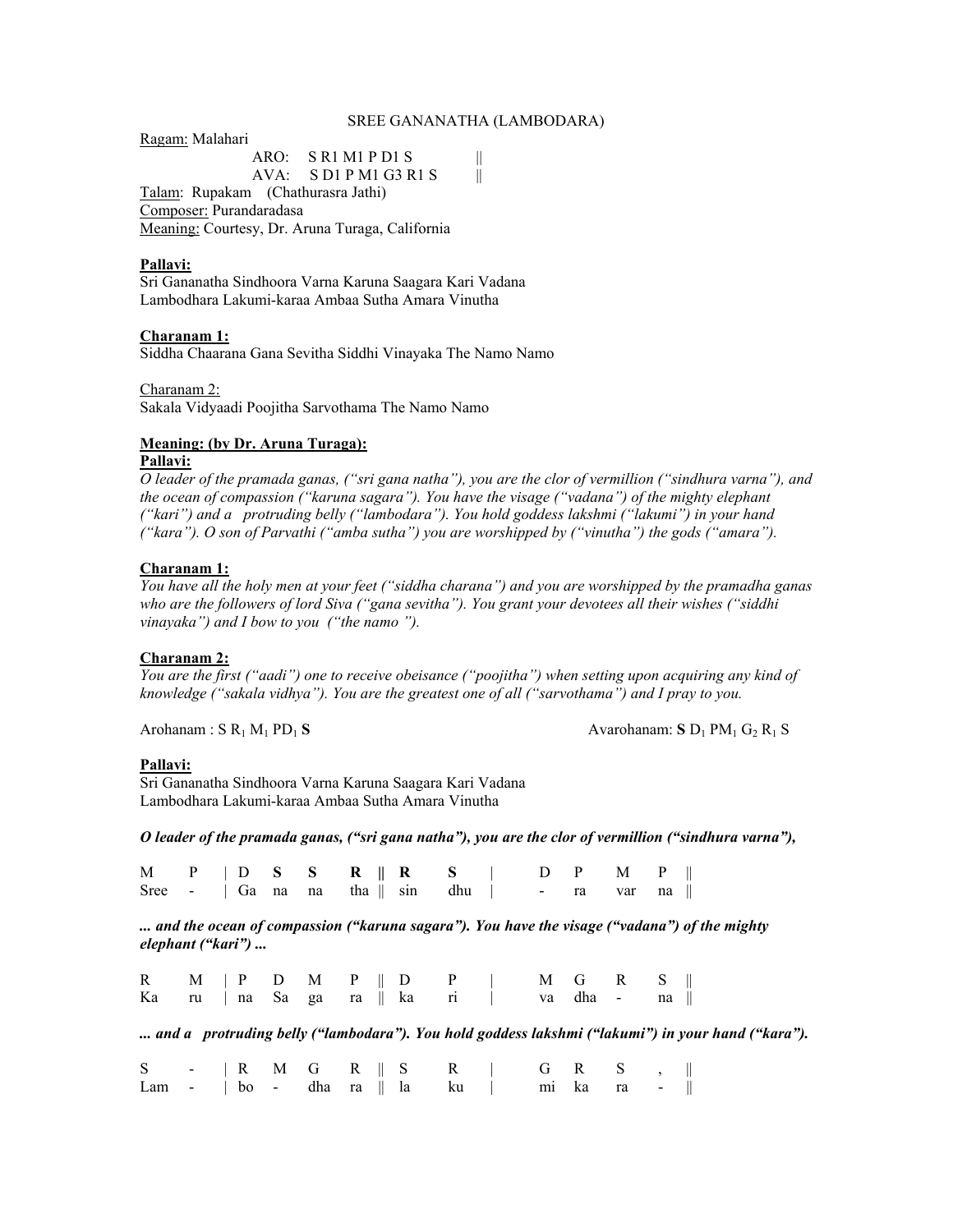#### SREE GANANATHA (LAMBODARA)

Ragam: Malahari

 ARO: S R1 M1 P D1 S || AVA: S D1 P M1 G3 R1 S || Talam: Rupakam (Chathurasra Jathi) Composer: Purandaradasa Meaning: Courtesy, Dr. Aruna Turaga, California

### **Pallavi:**

Sri Gananatha Sindhoora Varna Karuna Saagara Kari Vadana Lambodhara Lakumi-karaa Ambaa Sutha Amara Vinutha

### **Charanam 1:**

Siddha Chaarana Gana Sevitha Siddhi Vinayaka The Namo Namo

Charanam 2: Sakala Vidyaadi Poojitha Sarvothama The Namo Namo

### **Meaning: (by Dr. Aruna Turaga):**

## **Pallavi:**

*O leader of the pramada ganas, ("sri gana natha"), you are the clor of vermillion ("sindhura varna"), and the ocean of compassion ("karuna sagara"). You have the visage ("vadana") of the mighty elephant ("kari") and a protruding belly ("lambodara"). You hold goddess lakshmi ("lakumi") in your hand ("kara"). O son of Parvathi ("amba sutha") you are worshipped by ("vinutha") the gods ("amara").* 

### **Charanam 1:**

*You have all the holy men at your feet ("siddha charana") and you are worshipped by the pramadha ganas who are the followers of lord Siva ("gana sevitha"). You grant your devotees all their wishes ("siddhi vinayaka") and I bow to you ("the namo ").* 

### **Charanam 2:**

*You are the first ("aadi") one to receive obeisance ("poojitha") when setting upon acquiring any kind of knowledge ("sakala vidhya"). You are the greatest one of all ("sarvothama") and I pray to you.* 

Arohanam : S R<sub>1</sub> M<sub>1</sub> PD<sub>1</sub> S Avarohanam: S D<sub>1</sub> PM<sub>1</sub> G<sub>2</sub> R<sub>1</sub> S

### **Pallavi:**

Sri Gananatha Sindhoora Varna Karuna Saagara Kari Vadana Lambodhara Lakumi-karaa Ambaa Sutha Amara Vinutha

*O leader of the pramada ganas, ("sri gana natha"), you are the clor of vermillion ("sindhura varna"),* 

|  |  | M P   D S S R    R S   D P M P                                          |  |  |  |  |
|--|--|-------------------------------------------------------------------------|--|--|--|--|
|  |  | Sree - $\vert$ Ga na na tha $\vert$ sin dhu $\vert$ - ra var na $\vert$ |  |  |  |  |

*... and the ocean of compassion ("karuna sagara"). You have the visage ("vadana") of the mighty elephant ("kari") ...* 

|  |  |  |  | R M   P D M P    D P   M G R S   <br>Karu   na Sagara    kari   wadha - na                 |  |  |  |                                                                                                  |
|--|--|--|--|--------------------------------------------------------------------------------------------|--|--|--|--------------------------------------------------------------------------------------------------|
|  |  |  |  |                                                                                            |  |  |  | and a protruding belly ("lambodara"). You hold goddess lakshmi ("lakumi") in your hand ("kara"). |
|  |  |  |  | $S \rightarrow \mathbb{R}$ M G R $\parallel S \parallel$ R $\parallel$ G R S $, \parallel$ |  |  |  |                                                                                                  |
|  |  |  |  | Lam - $\vert$ bo - dha ra $\Vert$ la ku $\vert$ mi ka ra - $\Vert$                         |  |  |  |                                                                                                  |